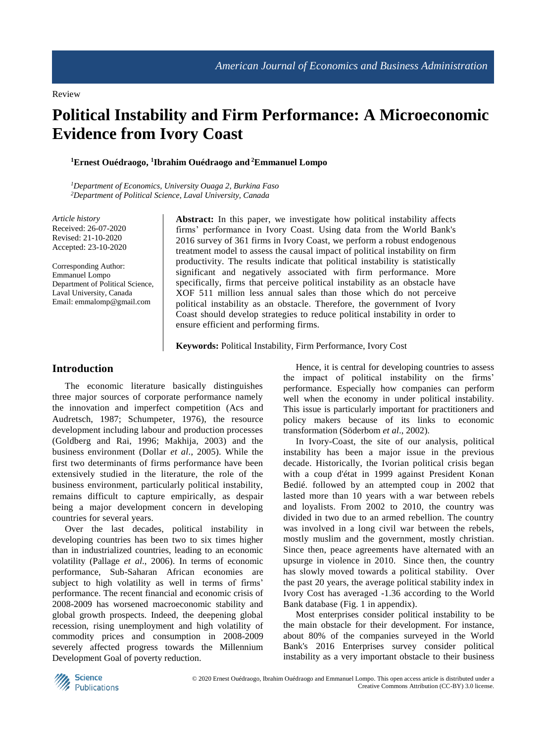# **Political Instability and Firm Performance: A Microeconomic Evidence from Ivory Coast**

#### **<sup>1</sup>Ernest Ouédraogo, 1 Ibrahim Ouédraogo and <sup>2</sup>Emmanuel Lompo**

*<sup>1</sup>Department of Economics, University Ouaga 2, Burkina Faso <sup>2</sup>Department of Political Science, Laval University, Canada*

*Article history* Received: 26-07-2020 Revised: 21-10-2020 Accepted: 23-10-2020

Corresponding Author: Emmanuel Lompo Department of Political Science, Laval University, Canada Email: emmalomp@gmail.com

**Abstract:** In this paper, we investigate how political instability affects firms' performance in Ivory Coast. Using data from the World Bank's 2016 survey of 361 firms in Ivory Coast, we perform a robust endogenous treatment model to assess the causal impact of political instability on firm productivity. The results indicate that political instability is statistically significant and negatively associated with firm performance. More specifically, firms that perceive political instability as an obstacle have XOF 511 million less annual sales than those which do not perceive political instability as an obstacle. Therefore, the government of Ivory Coast should develop strategies to reduce political instability in order to ensure efficient and performing firms.

**Keywords:** Political Instability, Firm Performance, Ivory Cost

## **Introduction**

The economic literature basically distinguishes three major sources of corporate performance namely the innovation and imperfect competition (Acs and Audretsch, 1987; Schumpeter, 1976), the resource development including labour and production processes (Goldberg and Rai, 1996; Makhija, 2003) and the business environment (Dollar *et al*., 2005). While the first two determinants of firms performance have been extensively studied in the literature, the role of the business environment, particularly political instability, remains difficult to capture empirically, as despair being a major development concern in developing countries for several years.

Over the last decades, political instability in developing countries has been two to six times higher than in industrialized countries, leading to an economic volatility (Pallage *et al*., 2006). In terms of economic performance, Sub-Saharan African economies are subject to high volatility as well in terms of firms' performance. The recent financial and economic crisis of 2008-2009 has worsened macroeconomic stability and global growth prospects. Indeed, the deepening global recession, rising unemployment and high volatility of commodity prices and consumption in 2008-2009 severely affected progress towards the Millennium Development Goal of poverty reduction.

Hence, it is central for developing countries to assess the impact of political instability on the firms' performance. Especially how companies can perform well when the economy in under political instability. This issue is particularly important for practitioners and policy makers because of its links to economic transformation (Söderbom *et al*., 2002).

In Ivory-Coast, the site of our analysis, political instability has been a major issue in the previous decade. Historically, the Ivorian political crisis began with a coup d'état in 1999 against President Konan Bedié. followed by an attempted coup in 2002 that lasted more than 10 years with a war between rebels and loyalists. From 2002 to 2010, the country was divided in two due to an armed rebellion. The country was involved in a long civil war between the rebels, mostly muslim and the government, mostly christian. Since then, peace agreements have alternated with an upsurge in violence in 2010. Since then, the country has slowly moved towards a political stability. Over the past 20 years, the average political stability index in Ivory Cost has averaged -1.36 according to the World Bank database (Fig. 1 in appendix).

Most enterprises consider political instability to be the main obstacle for their development. For instance, about 80% of the companies surveyed in the World Bank's 2016 Enterprises survey consider political instability as a very important obstacle to their business

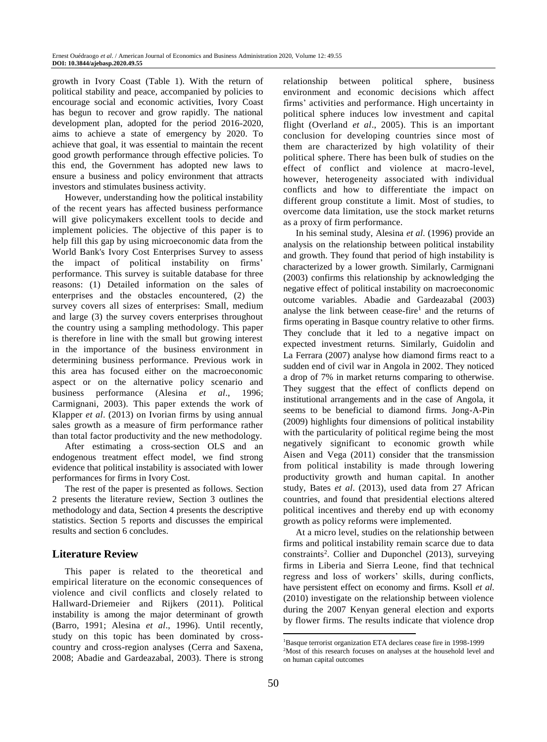growth in Ivory Coast (Table 1). With the return of political stability and peace, accompanied by policies to encourage social and economic activities, Ivory Coast has begun to recover and grow rapidly. The national development plan, adopted for the period 2016-2020, aims to achieve a state of emergency by 2020. To achieve that goal, it was essential to maintain the recent good growth performance through effective policies. To this end, the Government has adopted new laws to ensure a business and policy environment that attracts investors and stimulates business activity.

However, understanding how the political instability of the recent years has affected business performance will give policymakers excellent tools to decide and implement policies. The objective of this paper is to help fill this gap by using microeconomic data from the World Bank's Ivory Cost Enterprises Survey to assess the impact of political instability on firms' performance. This survey is suitable database for three reasons: (1) Detailed information on the sales of enterprises and the obstacles encountered, (2) the survey covers all sizes of enterprises: Small, medium and large (3) the survey covers enterprises throughout the country using a sampling methodology. This paper is therefore in line with the small but growing interest in the importance of the business environment in determining business performance. Previous work in this area has focused either on the macroeconomic aspect or on the alternative policy scenario and business performance (Alesina *et al*., 1996; Carmignani, 2003). This paper extends the work of Klapper *et al*. (2013) on Ivorian firms by using annual sales growth as a measure of firm performance rather than total factor productivity and the new methodology.

After estimating a cross-section OLS and an endogenous treatment effect model, we find strong evidence that political instability is associated with lower performances for firms in Ivory Cost.

The rest of the paper is presented as follows. Section 2 presents the literature review, Section 3 outlines the methodology and data, Section 4 presents the descriptive statistics. Section 5 reports and discusses the empirical results and section 6 concludes.

# **Literature Review**

This paper is related to the theoretical and empirical literature on the economic consequences of violence and civil conflicts and closely related to Hallward-Driemeier and Rijkers (2011). Political instability is among the major determinant of growth (Barro, 1991; Alesina *et al*., 1996). Until recently, study on this topic has been dominated by crosscountry and cross-region analyses (Cerra and Saxena, 2008; Abadie and Gardeazabal, 2003). There is strong relationship between political sphere, business environment and economic decisions which affect firms' activities and performance. High uncertainty in political sphere induces low investment and capital flight (Overland *et al*., 2005). This is an important conclusion for developing countries since most of them are characterized by high volatility of their political sphere. There has been bulk of studies on the effect of conflict and violence at macro-level, however, heterogeneity associated with individual conflicts and how to differentiate the impact on different group constitute a limit. Most of studies, to overcome data limitation, use the stock market returns as a proxy of firm performance.

In his seminal study, Alesina *et al*. (1996) provide an analysis on the relationship between political instability and growth. They found that period of high instability is characterized by a lower growth. Similarly, Carmignani (2003) confirms this relationship by acknowledging the negative effect of political instability on macroeconomic outcome variables. Abadie and Gardeazabal (2003) analyse the link between cease-fire<sup>1</sup> and the returns of firms operating in Basque country relative to other firms. They conclude that it led to a negative impact on expected investment returns. Similarly, Guidolin and La Ferrara (2007) analyse how diamond firms react to a sudden end of civil war in Angola in 2002. They noticed a drop of 7% in market returns comparing to otherwise. They suggest that the effect of conflicts depend on institutional arrangements and in the case of Angola, it seems to be beneficial to diamond firms. Jong-A-Pin (2009) highlights four dimensions of political instability with the particularity of political regime being the most negatively significant to economic growth while Aisen and Vega (2011) consider that the transmission from political instability is made through lowering productivity growth and human capital. In another study, Bates *et al*. (2013), used data from 27 African countries, and found that presidential elections altered political incentives and thereby end up with economy growth as policy reforms were implemented.

At a micro level, studies on the relationship between firms and political instability remain scarce due to data constraints<sup>2</sup>. Collier and Duponchel (2013), surveying firms in Liberia and Sierra Leone, find that technical regress and loss of workers' skills, during conflicts, have persistent effect on economy and firms. Ksoll *et al*. (2010) investigate on the relationship between violence during the 2007 Kenyan general election and exports by flower firms. The results indicate that violence drop

1

<sup>1</sup>Basque terrorist organization ETA declares cease fire in 1998-1999 <sup>2</sup>Most of this research focuses on analyses at the household level and on human capital outcomes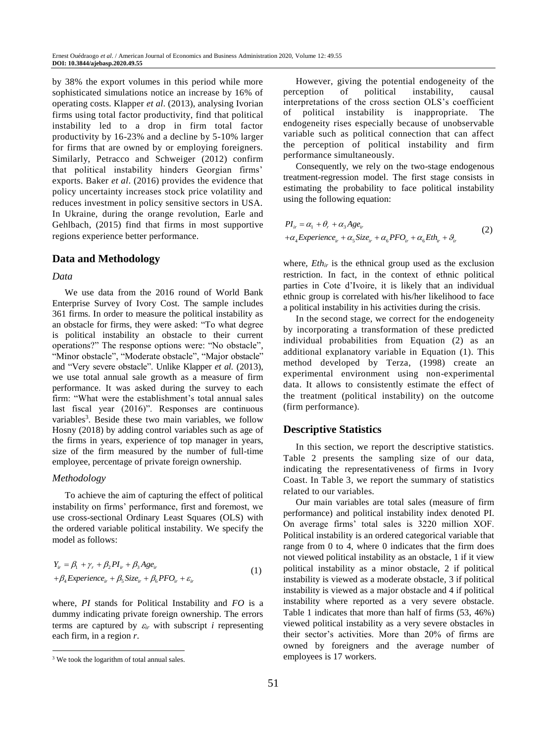by 38% the export volumes in this period while more sophisticated simulations notice an increase by 16% of operating costs. Klapper *et al*. (2013), analysing Ivorian firms using total factor productivity, find that political instability led to a drop in firm total factor productivity by 16-23% and a decline by 5-10% larger for firms that are owned by or employing foreigners. Similarly, Petracco and Schweiger (2012) confirm that political instability hinders Georgian firms' exports. Baker *et al*. (2016) provides the evidence that policy uncertainty increases stock price volatility and reduces investment in policy sensitive sectors in USA. In Ukraine, during the orange revolution, Earle and Gehlbach, (2015) find that firms in most supportive regions experience better performance.

# **Data and Methodology**

# *Data*

We use data from the 2016 round of World Bank Enterprise Survey of Ivory Cost. The sample includes 361 firms. In order to measure the political instability as an obstacle for firms, they were asked: "To what degree is political instability an obstacle to their current operations?" The response options were: "No obstacle", "Minor obstacle", "Moderate obstacle", "Major obstacle" and "Very severe obstacle". Unlike Klapper *et al*. (2013), we use total annual sale growth as a measure of firm performance. It was asked during the survey to each firm: "What were the establishment's total annual sales last fiscal year (2016)". Responses are continuous variables<sup>3</sup>. Beside these two main variables, we follow Hosny (2018) by adding control variables such as age of the firms in years, experience of top manager in years, size of the firm measured by the number of full-time employee, percentage of private foreign ownership.

### *Methodology*

 $\overline{a}$ 

To achieve the aim of capturing the effect of political instability on firms' performance, first and foremost, we use cross-sectional Ordinary Least Squares (OLS) with the ordered variable political instability. We specify the model as follows:

$$
Y_{ir} = \beta_1 + \gamma_r + \beta_2 PI_{ir} + \beta_3 Age_{ir}
$$
  
+  $\beta_4$  Experience<sub>ir</sub> +  $\beta_5$  Size<sub>ir</sub> +  $\beta_6$  PFO<sub>ir</sub> +  $\varepsilon_{ir}$  (1)

where, *PI* stands for Political Instability and *FO* is a dummy indicating private foreign ownership. The errors terms are captured by  $\varepsilon_{ir}$  with subscript *i* representing each firm, in a region *r*.

However, giving the potential endogeneity of the perception of political instability, causal interpretations of the cross section OLS's coefficient of political instability is inappropriate. The endogeneity rises especially because of unobservable variable such as political connection that can affect the perception of political instability and firm performance simultaneously.

Consequently, we rely on the two-stage endogenous treatment-regression model. The first stage consists in estimating the probability to face political instability using the following equation:

$$
PI_{ir} = \alpha_1 + \theta_r + \alpha_3 A g e_{ir}
$$
  
+ $\alpha_4$  Experience<sub>ir</sub> +  $\alpha_5$  Size<sub>ir</sub> +  $\alpha_6$  PFO<sub>ir</sub> +  $\alpha_6$ EH<sub>ir</sub> +  $\theta_{ir}$  (2)

where,  $Eth_{ir}$  is the ethnical group used as the exclusion restriction. In fact, in the context of ethnic political parties in Cote d'Ivoire, it is likely that an individual ethnic group is correlated with his/her likelihood to face a political instability in his activities during the crisis.

In the second stage, we correct for the endogeneity by incorporating a transformation of these predicted individual probabilities from Equation (2) as an additional explanatory variable in Equation (1). This method developed by Terza, (1998) create an experimental environment using non-experimental data. It allows to consistently estimate the effect of the treatment (political instability) on the outcome (firm performance).

### **Descriptive Statistics**

In this section, we report the descriptive statistics. Table 2 presents the sampling size of our data, indicating the representativeness of firms in Ivory Coast. In Table 3, we report the summary of statistics related to our variables.

Our main variables are total sales (measure of firm performance) and political instability index denoted PI. On average firms' total sales is 3220 million XOF. Political instability is an ordered categorical variable that range from 0 to 4, where 0 indicates that the firm does not viewed political instability as an obstacle, 1 if it view political instability as a minor obstacle, 2 if political instability is viewed as a moderate obstacle, 3 if political instability is viewed as a major obstacle and 4 if political instability where reported as a very severe obstacle. Table 1 indicates that more than half of firms (53, 46%) viewed political instability as a very severe obstacles in their sector's activities. More than 20% of firms are owned by foreigners and the average number of employees is 17 workers.

<sup>&</sup>lt;sup>3</sup> We took the logarithm of total annual sales.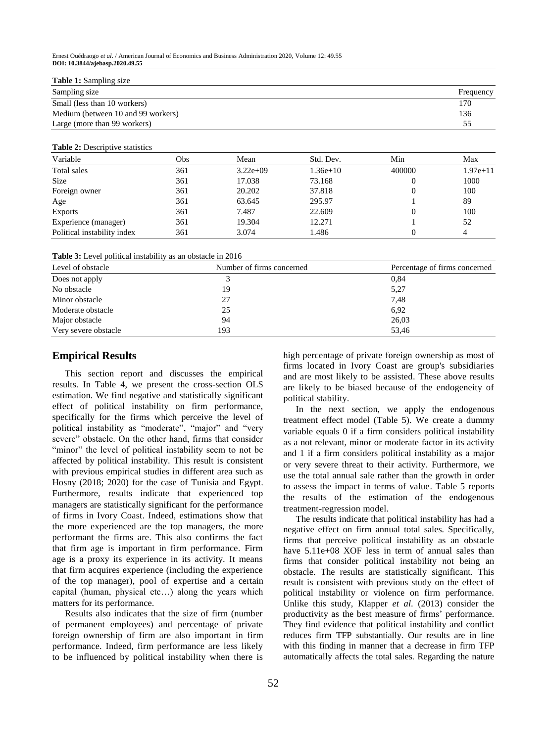#### **Table 1:** Sampling size

| Sampling size                      | Frequency |
|------------------------------------|-----------|
| Small (less than 10 workers)       | 170       |
| Medium (between 10 and 99 workers) | 136       |
| Large (more than 99 workers)       | 55        |

#### **Table 2:** Descriptive statistics

| Variable                    | Obs | Mean       | Std. Dev.  | Min    | Max        |
|-----------------------------|-----|------------|------------|--------|------------|
| Total sales                 | 361 | $3.22e+09$ | $1.36e+10$ | 400000 | $1.97e+11$ |
| <b>Size</b>                 | 361 | 17.038     | 73.168     |        | 1000       |
| Foreign owner               | 361 | 20.202     | 37.818     |        | 100        |
| Age                         | 361 | 63.645     | 295.97     |        | 89         |
| <b>Exports</b>              | 361 | 7.487      | 22.609     |        | 100        |
| Experience (manager)        | 361 | 19.304     | 12.271     |        | 52         |
| Political instability index | 361 | 3.074      | 1.486      |        | 4          |

**Table 3:** Level political instability as an obstacle in 2016

| Percentage of firms concerned |
|-------------------------------|
|                               |
|                               |
|                               |
|                               |
|                               |
|                               |
|                               |
|                               |

## **Empirical Results**

This section report and discusses the empirical results. In Table 4, we present the cross-section OLS estimation. We find negative and statistically significant effect of political instability on firm performance, specifically for the firms which perceive the level of political instability as "moderate", "major" and "very severe" obstacle. On the other hand, firms that consider "minor" the level of political instability seem to not be affected by political instability. This result is consistent with previous empirical studies in different area such as Hosny (2018; 2020) for the case of Tunisia and Egypt. Furthermore, results indicate that experienced top managers are statistically significant for the performance of firms in Ivory Coast. Indeed, estimations show that the more experienced are the top managers, the more performant the firms are. This also confirms the fact that firm age is important in firm performance. Firm age is a proxy its experience in its activity. It means that firm acquires experience (including the experience of the top manager), pool of expertise and a certain capital (human, physical etc…) along the years which matters for its performance.

Results also indicates that the size of firm (number of permanent employees) and percentage of private foreign ownership of firm are also important in firm performance. Indeed, firm performance are less likely to be influenced by political instability when there is high percentage of private foreign ownership as most of firms located in Ivory Coast are group's subsidiaries and are most likely to be assisted. These above results are likely to be biased because of the endogeneity of political stability.

In the next section, we apply the endogenous treatment effect model (Table 5). We create a dummy variable equals 0 if a firm considers political instability as a not relevant, minor or moderate factor in its activity and 1 if a firm considers political instability as a major or very severe threat to their activity. Furthermore, we use the total annual sale rather than the growth in order to assess the impact in terms of value. Table 5 reports the results of the estimation of the endogenous treatment-regression model.

The results indicate that political instability has had a negative effect on firm annual total sales. Specifically, firms that perceive political instability as an obstacle have  $5.11e+08$  XOF less in term of annual sales than firms that consider political instability not being an obstacle. The results are statistically significant. This result is consistent with previous study on the effect of political instability or violence on firm performance. Unlike this study, Klapper *et al*. (2013) consider the productivity as the best measure of firms' performance. They find evidence that political instability and conflict reduces firm TFP substantially. Our results are in line with this finding in manner that a decrease in firm TFP automatically affects the total sales. Regarding the nature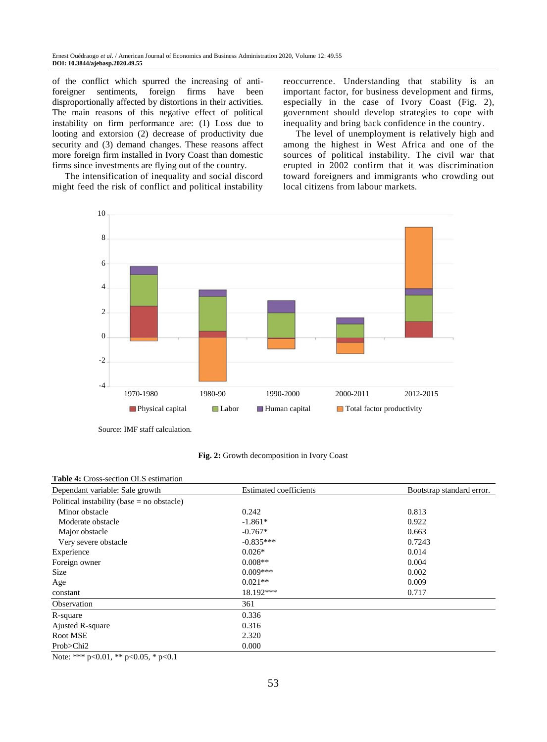of the conflict which spurred the increasing of antiforeigner sentiments, foreign firms have been disproportionally affected by distortions in their activities. The main reasons of this negative effect of political instability on firm performance are: (1) Loss due to looting and extorsion (2) decrease of productivity due security and (3) demand changes. These reasons affect more foreign firm installed in Ivory Coast than domestic firms since investments are flying out of the country.

The intensification of inequality and social discord might feed the risk of conflict and political instability reoccurrence. Understanding that stability is an important factor, for business development and firms, especially in the case of Ivory Coast (Fig. 2), government should develop strategies to cope with inequality and bring back confidence in the country.

The level of unemployment is relatively high and among the highest in West Africa and one of the sources of political instability. The civil war that erupted in 2002 confirm that it was discrimination toward foreigners and immigrants who crowding out local citizens from labour markets.



Source: IMF staff calculation.

**Fig. 2:** Growth decomposition in Ivory Coast

#### **Table 4:** Cross-section OLS estimation

| Dependant variable: Sale growth              | <b>Estimated coefficients</b> | Bootstrap standard error. |  |
|----------------------------------------------|-------------------------------|---------------------------|--|
| Political instability (base $=$ no obstacle) |                               |                           |  |
| Minor obstacle                               | 0.242                         | 0.813                     |  |
| Moderate obstacle                            | $-1.861*$                     | 0.922                     |  |
| Major obstacle                               | $-0.767*$                     | 0.663                     |  |
| Very severe obstacle                         | $-0.835***$                   | 0.7243                    |  |
| Experience                                   | $0.026*$                      | 0.014                     |  |
| Foreign owner                                | $0.008**$                     | 0.004                     |  |
| Size                                         | $0.009***$                    | 0.002                     |  |
| Age                                          | $0.021**$                     | 0.009                     |  |
| constant                                     | 18.192***                     | 0.717                     |  |
| Observation                                  | 361                           |                           |  |
| R-square                                     | 0.336                         |                           |  |
| Ajusted R-square                             | 0.316                         |                           |  |
| Root MSE                                     | 2.320                         |                           |  |
| Prob>Chi2                                    | 0.000                         |                           |  |

Note: \*\*\* p<0.01, \*\* p<0.05, \* p<0.1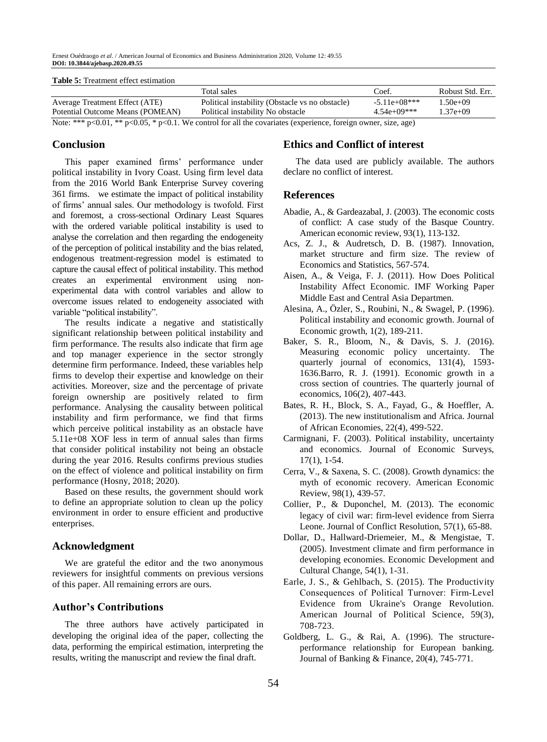Ernest Ouédraogo *et al*. / American Journal of Economics and Business Administration 2020, Volume 12: 49.55 **DOI: 10.3844/ajebasp.2020.49.55**

#### **Table 5:** Treatment effect estimation

|                                                                                                                         | Total sales                                     | Coef.          | Robust Std. Err. |  |
|-------------------------------------------------------------------------------------------------------------------------|-------------------------------------------------|----------------|------------------|--|
| Average Treatment Effect (ATE)                                                                                          | Political instability (Obstacle vs no obstacle) | $-5.11e+08***$ | 1.50e+09         |  |
| Potential Outcome Means (POMEAN)                                                                                        | Political instability No obstacle               | $4.54e+09***$  | $1.37e+09$       |  |
| Note: *** $p<0.01$ , ** $p<0.05$ , * $p<0.1$ . We control for all the covariates (experience, foreign owner, size, age) |                                                 |                |                  |  |

## **Conclusion**

This paper examined firms' performance under political instability in Ivory Coast. Using firm level data from the 2016 World Bank Enterprise Survey covering 361 firms. we estimate the impact of political instability of firms' annual sales. Our methodology is twofold. First and foremost, a cross-sectional Ordinary Least Squares with the ordered variable political instability is used to analyse the correlation and then regarding the endogeneity of the perception of political instability and the bias related, endogenous treatment-regression model is estimated to capture the causal effect of political instability. This method creates an experimental environment using nonexperimental data with control variables and allow to overcome issues related to endogeneity associated with variable "political instability".

The results indicate a negative and statistically significant relationship between political instability and firm performance. The results also indicate that firm age and top manager experience in the sector strongly determine firm performance. Indeed, these variables help firms to develop their expertise and knowledge on their activities. Moreover, size and the percentage of private foreign ownership are positively related to firm performance. Analysing the causality between political instability and firm performance, we find that firms which perceive political instability as an obstacle have 5.11e+08 XOF less in term of annual sales than firms that consider political instability not being an obstacle during the year 2016. Results confirms previous studies on the effect of violence and political instability on firm performance (Hosny, 2018; 2020).

Based on these results, the government should work to define an appropriate solution to clean up the policy environment in order to ensure efficient and productive enterprises.

#### **Acknowledgment**

We are grateful the editor and the two anonymous reviewers for insightful comments on previous versions of this paper. All remaining errors are ours.

# **Author's Contributions**

The three authors have actively participated in developing the original idea of the paper, collecting the data, performing the empirical estimation, interpreting the results, writing the manuscript and review the final draft.

# **Ethics and Conflict of interest**

The data used are publicly available. The authors declare no conflict of interest.

#### **References**

- Abadie, A., & Gardeazabal, J. (2003). The economic costs of conflict: A case study of the Basque Country. American economic review, 93(1), 113-132.
- Acs, Z. J., & Audretsch, D. B. (1987). Innovation, market structure and firm size. The review of Economics and Statistics, 567-574.
- Aisen, A., & Veiga, F. J. (2011). How Does Political Instability Affect Economic. IMF Working Paper Middle East and Central Asia Departmen.
- Alesina, A., Özler, S., Roubini, N., & Swagel, P. (1996). Political instability and economic growth. Journal of Economic growth, 1(2), 189-211.
- Baker, S. R., Bloom, N., & Davis, S. J. (2016). Measuring economic policy uncertainty. The quarterly journal of economics, 131(4), 1593- 1636.Barro, R. J. (1991). Economic growth in a cross section of countries. The quarterly journal of economics, 106(2), 407-443.
- Bates, R. H., Block, S. A., Fayad, G., & Hoeffler, A. (2013). The new institutionalism and Africa. Journal of African Economies, 22(4), 499-522.
- Carmignani, F. (2003). Political instability, uncertainty and economics. Journal of Economic Surveys, 17(1), 1-54.
- Cerra, V., & Saxena, S. C. (2008). Growth dynamics: the myth of economic recovery. American Economic Review, 98(1), 439-57.
- Collier, P., & Duponchel, M. (2013). The economic legacy of civil war: firm-level evidence from Sierra Leone. Journal of Conflict Resolution, 57(1), 65-88.
- Dollar, D., Hallward-Driemeier, M., & Mengistae, T. (2005). Investment climate and firm performance in developing economies. Economic Development and Cultural Change, 54(1), 1-31.
- Earle, J. S., & Gehlbach, S. (2015). The Productivity Consequences of Political Turnover: Firm‐Level Evidence from Ukraine's Orange Revolution. American Journal of Political Science, 59(3), 708-723.
- Goldberg, L. G., & Rai, A. (1996). The structureperformance relationship for European banking. Journal of Banking & Finance, 20(4), 745-771.